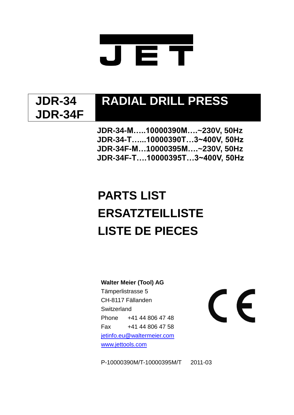

### **JDR-34 JDR-34F**

## **RADIAL DRILL PRESS**

**JDR-34-M…..10000390M….~230V, 50Hz JDR-34-T…...10000390T…3~400V, 50Hz JDR-34F-M…10000395M….~230V, 50Hz JDR-34F-T….10000395T…3~400V, 50Hz**

## **PARTS LIST ERSATZTEILLISTE LISTE DE PIECES**

**Walter Meier (Tool) AG**

Tämperlistrasse 5 CH-8117 Fällanden **Switzerland** Phone +41 44 806 47 48 Fax +41 44 806 47 58 [jetinfo.eu@waltermeier.com](mailto:jetinfo.eu@waltermeier.com) [www.jettools.com](http://www.jetwilton.com/)

# $\epsilon$

P-10000390M/T-10000395M/T 2011-03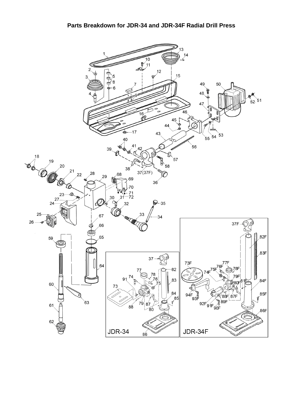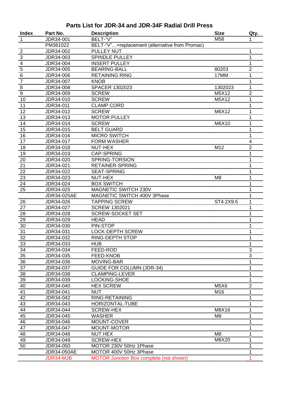#### **Parts List for JDR-34 and JDR-34F Radial Drill Press**

| <b>Index</b>    | Part No.    | <b>Description</b>                             | <b>Size</b>    | Qty. |
|-----------------|-------------|------------------------------------------------|----------------|------|
| 1               | JDR34-001   | BELT-"V"                                       | M58            |      |
|                 | PM361022    | BELT-"V"=replacement (alternative from Promac) |                |      |
| $\overline{2}$  | JDR34-002   | PULLEY NUT                                     |                |      |
| $\sqrt{3}$      | JDR34-003   | <b>SPINDLE PULLEY</b>                          |                |      |
| 4               | JDR34-004   | <b>INSERT PULLEY</b>                           |                |      |
| 5               | JDR34-005   | <b>BEARING-BALL</b>                            | 80203          | 2    |
| $6\phantom{1}6$ | JDR34-006   | <b>RETAINING RING</b>                          | 17MM           | 1    |
| $\overline{7}$  | JDR34-007   | <b>KNOB</b>                                    |                |      |
| 8               | JDR34-008   | <b>SPACER 1302023</b>                          | 1302023        | 1    |
| 9               | JDR34-009   | <b>SCREW</b>                                   | M5X12          | 2    |
| 10              | JDR34-010   | <b>SCREW</b>                                   | M5X12          |      |
| 11              | JDR34-011   | <b>CLAMP CORD</b>                              |                |      |
| 12              | JDR34-012   | <b>SCREW</b>                                   | M6X12          |      |
| 13              | JDR34-013   | <b>MOTOR PULLEY</b>                            |                |      |
| 14              | JDR34-014   | <b>SCREW</b>                                   | M6X10          |      |
| 15              | JDR34-015   | <b>BELT GUARD</b>                              |                |      |
| 16              | JDR34-016   | <b>MICRO SWITCH</b>                            |                |      |
| 17              | JDR34-017   | <b>FORM WASHER</b>                             |                | 4    |
| 18              | JDR34-018   | NUT-HEX                                        | M12            | 2    |
| 19              | JDR34-019   | <b>CAP-SPRING</b>                              |                |      |
| 20              | JDR34-020   | SPRING-TORSION                                 |                |      |
| 21              | JDR34-021   | RETAINER-SPRING                                |                |      |
| 22              | JDR34-022   | <b>SEAT-SPRING</b>                             |                |      |
| 23              | JDR34-023   | NUT-HEX                                        | M <sub>8</sub> |      |
| 24              | JDR34-024   | <b>BOX SWITCH</b>                              |                |      |
| 25              | JDR34-025   | MAGNETIC SWITCH 230V                           |                |      |
|                 | JDR34-025AE | MAGNETIC SWITCH 400V 3Phase                    |                |      |
| 26              | JDR34-026   | <b>TAPPING SCREW</b>                           | ST4.2X9.5      |      |
| 27              | JDR34-027   | <b>SCREW 1302021</b>                           |                |      |
| 28              | JDR34-028   | <b>SCREW-SOCKET SET</b>                        |                |      |
| 29              | JDR34-029   | <b>HEAD</b>                                    |                | 1    |
| 30              | JDR34-030   | PIN-STOP                                       |                |      |
| 31              | JDR34-031   | <b>LOCK-DEPTH SCREW</b>                        |                |      |
| 32              | JDR34-032   | <b>RING-DEPTH STOP</b>                         |                |      |
| 33              | JDR34-033   | <b>HUB</b>                                     |                |      |
| 34              | JDR34-034   | FEED-ROD                                       |                | 3    |
| 35              | JDR34-035   | FEED-KNOB                                      |                | 3    |
| 36              | JDR34-036   | MOVING-BAR                                     |                |      |
| 37              | JDR34-037   | <b>GUIDE FOR COLUMN (JDR-34)</b>               |                |      |
| 38              | JDR34-038   | <b>CLAMPING-LEVER</b>                          |                |      |
| 39              | JDR34-039   | LOCKING-SHOE                                   |                |      |
| 40              | JDR34-040   | <b>HEX SCREW</b>                               | M5X6           | 2    |
| 41              | JDR34-041   | NUT                                            | M16            |      |
| 42              | JDR34-042   | RING-RETAINING                                 |                |      |
| 43              | JDR34-043   | <b>HORIZONTAL-TUBE</b>                         |                |      |
| 44              | JDR34-044   | <b>SCREW-HEX</b>                               | M8X16          |      |
| 45              | JDR34-045   | WASHER                                         | M8             |      |
| 46              | JDR34-046   | MOUNT-COVER                                    |                |      |
| 47              | JDR34-047   | MOUNT-MOTOR                                    |                |      |
| 48              | JDR34-048   | <b>NUT HEX</b>                                 | M8             |      |
| 49              | JDR34-049   | <b>SCREW-HEX</b>                               | M8X20          |      |
| 50              | JDR34-050   | MOTOR 230V 50Hz 1Phase                         |                |      |
|                 | JDR34-050AE | MOTOR 400V 50Hz 3Phase                         |                |      |
|                 | JDR34-MJB   | MOTOR Junction Box complete (not shown)        |                |      |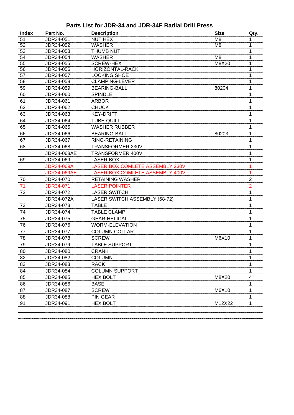### **Parts List for JDR-34 and JDR-34F Radial Drill Press**

| <b>Index</b> | Part No.           | <b>Description</b>                     | <b>Size</b>    | Qty.           |
|--------------|--------------------|----------------------------------------|----------------|----------------|
| 51           | JDR34-051          | <b>NUT HEX</b>                         | M8             | 1              |
| 52           | JDR34-052          | <b>WASHER</b>                          | M <sub>8</sub> |                |
| 53           | JDR34-053          | <b>THUMB NUT</b>                       |                | 1              |
| 54           | JDR34-054          | <b>WASHER</b>                          | M <sub>8</sub> | 1              |
| 55           | JDR34-055          | <b>SCREW-HEX</b>                       | M8X20          | 1              |
| 56           | JDR34-056          | HORIZONTAL-RACK                        |                |                |
| 57           | JDR34-057          | <b>LOCKING SHOE</b>                    |                | 1              |
| 58           | JDR34-058          | <b>CLAMPING-LEVER</b>                  |                |                |
| 59           | JDR34-059          | <b>BEARING-BALL</b>                    | 80204          | 1              |
| 60           | JDR34-060          | <b>SPINDLE</b>                         |                |                |
| 61           | JDR34-061          | <b>ARBOR</b>                           |                |                |
| 62           | JDR34-062          | <b>CHUCK</b>                           |                | 1              |
| 63           | JDR34-063          | <b>KEY-DRIFT</b>                       |                |                |
| 64           | JDR34-064          | <b>TUBE-QUILL</b>                      |                |                |
| 65           | JDR34-065          | <b>WASHER RUBBER</b>                   |                | 1              |
| 66           | JDR34-066          | <b>BEARING-BALL</b>                    | 80203          | 1              |
| 67           | JDR34-067          | RING-RETAINING                         |                | 1              |
| 68           | JDR34-068          | <b>TRANSFORMER 230V</b>                |                |                |
|              | <b>JDR34-068AE</b> | TRANSFORMER 400V                       |                |                |
| 69           | JDR34-069          | <b>LASER BOX</b>                       |                |                |
|              | <b>JDR34-069A</b>  | <b>LASER BOX COMLETE ASSEMBLY 230V</b> |                |                |
|              | <b>JDR34-069AE</b> | <b>LASER BOX COMLETE ASSEMBLY 400V</b> |                |                |
| 70           | JDR34-070          | <b>RETAINING WASHER</b>                |                | $\overline{2}$ |
| 71           | <b>JDR34-071</b>   | LASER POINTER                          |                | 2              |
| 72           | JDR34-072          | <b>LASER SWITCH</b>                    |                |                |
|              | JDR34-072A         | LASER SWITCH ASSEMBLY (68-72)          |                | 1              |
| 73           | JDR34-073          | <b>TABLE</b>                           |                | 1              |
| 74           | JDR34-074          | <b>TABLE CLAMP</b>                     |                |                |
| 75           | JDR34-075          | <b>GEAR-HELICAL</b>                    |                |                |
| 76           | JDR34-076          | <b>WORM-ELEVATION</b>                  |                | 1              |
| 77           | JDR34-077          | <b>COLUMN COLLAR</b>                   |                | 1              |
| 78           | JDR34-078          | <b>SCREW</b>                           | M6X10          |                |
| 79           | JDR34-079          | TABLE SUPPORT                          |                |                |
| 80           | JDR34-080          | <b>CRANK</b>                           |                |                |
| 82           | JDR34-082          | <b>COLUMN</b>                          |                |                |
| 83           | JDR34-083          | <b>RACK</b>                            |                | 1              |
| 84           | JDR34-084          | <b>COLUMN SUPPORT</b>                  |                |                |
| 85           | JDR34-085          | <b>HEX BOLT</b>                        | M8X20          | 4              |
| 86           | JDR34-086          | <b>BASE</b>                            |                |                |
| 87           | JDR34-087          | <b>SCREW</b>                           | M6X10          | 1              |
| 88           | JDR34-088          | <b>PIN GEAR</b>                        |                |                |
| 91           | JDR34-091          | <b>HEX BOLT</b>                        | M12X22         |                |
|              |                    |                                        |                |                |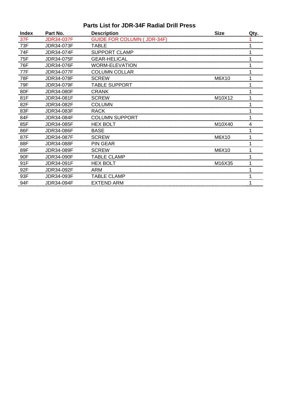### **Parts List for JDR-34F Radial Drill Press**

| <b>Index</b> | Part No.          | <b>Description</b>                | <b>Size</b> | Qty. |
|--------------|-------------------|-----------------------------------|-------------|------|
| 37F          | <b>JDR34-037F</b> | <b>GUIDE FOR COLUMN (JDR-34F)</b> |             |      |
| 73F          | <b>JDR34-073F</b> | <b>TABLE</b>                      |             |      |
| 74F          | JDR34-074F        | <b>SUPPORT CLAMP</b>              |             |      |
| 75F          | JDR34-075F        | <b>GEAR-HELICAL</b>               |             |      |
| 76F          | JDR34-076F        | <b>WORM-ELEVATION</b>             |             |      |
| 77F          | JDR34-077F        | <b>COLUMN COLLAR</b>              |             |      |
| 78F          | JDR34-078F        | <b>SCREW</b>                      | M6X10       |      |
| 79F          | JDR34-079F        | <b>TABLE SUPPORT</b>              |             |      |
| 80F          | JDR34-080F        | <b>CRANK</b>                      |             |      |
| 81F          | JDR34-081F        | <b>SCREW</b>                      | M10X12      |      |
| 82F          | JDR34-082F        | <b>COLUMN</b>                     |             |      |
| 83F          | JDR34-083F        | <b>RACK</b>                       |             |      |
| 84F          | JDR34-084F        | <b>COLUMN SUPPORT</b>             |             |      |
| 85F          | JDR34-085F        | <b>HEX BOLT</b>                   | M10X40      | 4    |
| 86F          | JDR34-086F        | <b>BASE</b>                       |             |      |
| 87F          | JDR34-087F        | <b>SCREW</b>                      | M6X10       |      |
| 88F          | <b>JDR34-088F</b> | <b>PIN GEAR</b>                   |             |      |
| 89F          | JDR34-089F        | <b>SCREW</b>                      | M6X10       |      |
| 90F          | JDR34-090F        | <b>TABLE CLAMP</b>                |             |      |
| 91F          | JDR34-091F        | <b>HEX BOLT</b>                   | M16X35      |      |
| 92F          | JDR34-092F        | <b>ARM</b>                        |             |      |
| 93F          | JDR34-093F        | <b>TABLE CLAMP</b>                |             |      |
| 94F          | JDR34-094F        | <b>EXTEND ARM</b>                 |             |      |